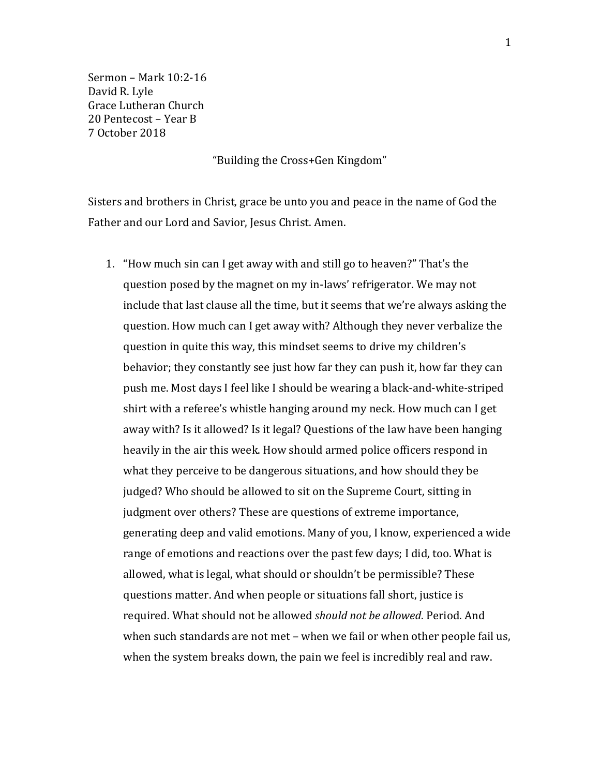Sermon – Mark 10:2-16 David R. Lyle Grace Lutheran Church 20 Pentecost – Year B 7 October 2018

"Building the Cross+Gen Kingdom"

Sisters and brothers in Christ, grace be unto you and peace in the name of God the Father and our Lord and Savior, Jesus Christ. Amen.

1. "How much sin can I get away with and still go to heaven?" That's the question posed by the magnet on my in-laws' refrigerator. We may not include that last clause all the time, but it seems that we're always asking the question. How much can I get away with? Although they never verbalize the question in quite this way, this mindset seems to drive my children's behavior; they constantly see just how far they can push it, how far they can push me. Most days I feel like I should be wearing a black-and-white-striped shirt with a referee's whistle hanging around my neck. How much can I get away with? Is it allowed? Is it legal? Questions of the law have been hanging heavily in the air this week. How should armed police officers respond in what they perceive to be dangerous situations, and how should they be judged? Who should be allowed to sit on the Supreme Court, sitting in judgment over others? These are questions of extreme importance, generating deep and valid emotions. Many of you, I know, experienced a wide range of emotions and reactions over the past few days; I did, too. What is allowed, what is legal, what should or shouldn't be permissible? These questions matter. And when people or situations fall short, justice is required. What should not be allowed *should not be allowed*. Period. And when such standards are not met – when we fail or when other people fail us, when the system breaks down, the pain we feel is incredibly real and raw.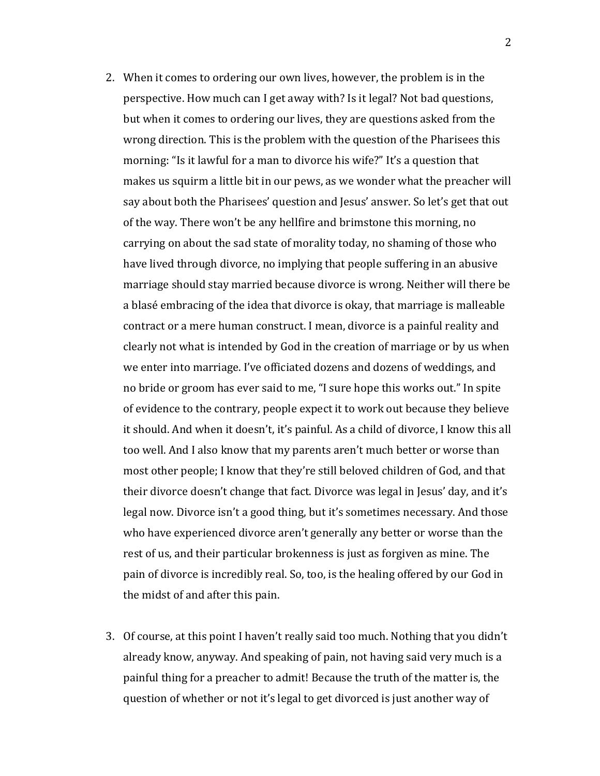- 2. When it comes to ordering our own lives, however, the problem is in the perspective. How much can I get away with? Is it legal? Not bad questions, but when it comes to ordering our lives, they are questions asked from the wrong direction. This is the problem with the question of the Pharisees this morning: "Is it lawful for a man to divorce his wife?" It's a question that makes us squirm a little bit in our pews, as we wonder what the preacher will say about both the Pharisees' question and Jesus' answer. So let's get that out of the way. There won't be any hellfire and brimstone this morning, no carrying on about the sad state of morality today, no shaming of those who have lived through divorce, no implying that people suffering in an abusive marriage should stay married because divorce is wrong. Neither will there be a blasé embracing of the idea that divorce is okay, that marriage is malleable contract or a mere human construct. I mean, divorce is a painful reality and clearly not what is intended by God in the creation of marriage or by us when we enter into marriage. I've officiated dozens and dozens of weddings, and no bride or groom has ever said to me, "I sure hope this works out." In spite of evidence to the contrary, people expect it to work out because they believe it should. And when it doesn't, it's painful. As a child of divorce, I know this all too well. And I also know that my parents aren't much better or worse than most other people; I know that they're still beloved children of God, and that their divorce doesn't change that fact. Divorce was legal in Jesus' day, and it's legal now. Divorce isn't a good thing, but it's sometimes necessary. And those who have experienced divorce aren't generally any better or worse than the rest of us, and their particular brokenness is just as forgiven as mine. The pain of divorce is incredibly real. So, too, is the healing offered by our God in the midst of and after this pain.
- 3. Of course, at this point I haven't really said too much. Nothing that you didn't already know, anyway. And speaking of pain, not having said very much is a painful thing for a preacher to admit! Because the truth of the matter is, the question of whether or not it's legal to get divorced is just another way of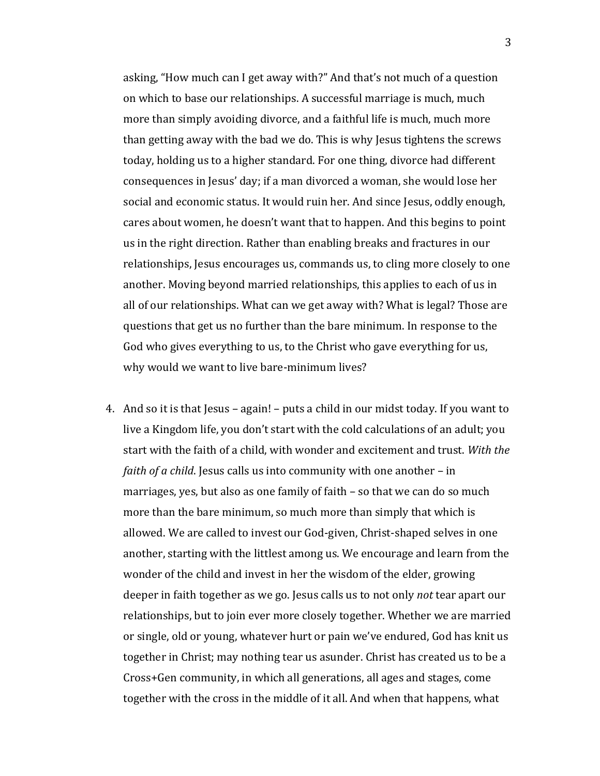asking, "How much can I get away with?" And that's not much of a question on which to base our relationships. A successful marriage is much, much more than simply avoiding divorce, and a faithful life is much, much more than getting away with the bad we do. This is why Jesus tightens the screws today, holding us to a higher standard. For one thing, divorce had different consequences in Jesus' day; if a man divorced a woman, she would lose her social and economic status. It would ruin her. And since Jesus, oddly enough, cares about women, he doesn't want that to happen. And this begins to point us in the right direction. Rather than enabling breaks and fractures in our relationships, Jesus encourages us, commands us, to cling more closely to one another. Moving beyond married relationships, this applies to each of us in all of our relationships. What can we get away with? What is legal? Those are questions that get us no further than the bare minimum. In response to the God who gives everything to us, to the Christ who gave everything for us, why would we want to live bare-minimum lives?

4. And so it is that Jesus – again! – puts a child in our midst today. If you want to live a Kingdom life, you don't start with the cold calculations of an adult; you start with the faith of a child, with wonder and excitement and trust. *With the faith of a child*. Jesus calls us into community with one another – in marriages, yes, but also as one family of faith – so that we can do so much more than the bare minimum, so much more than simply that which is allowed. We are called to invest our God-given, Christ-shaped selves in one another, starting with the littlest among us. We encourage and learn from the wonder of the child and invest in her the wisdom of the elder, growing deeper in faith together as we go. Jesus calls us to not only *not* tear apart our relationships, but to join ever more closely together. Whether we are married or single, old or young, whatever hurt or pain we've endured, God has knit us together in Christ; may nothing tear us asunder. Christ has created us to be a Cross+Gen community, in which all generations, all ages and stages, come together with the cross in the middle of it all. And when that happens, what